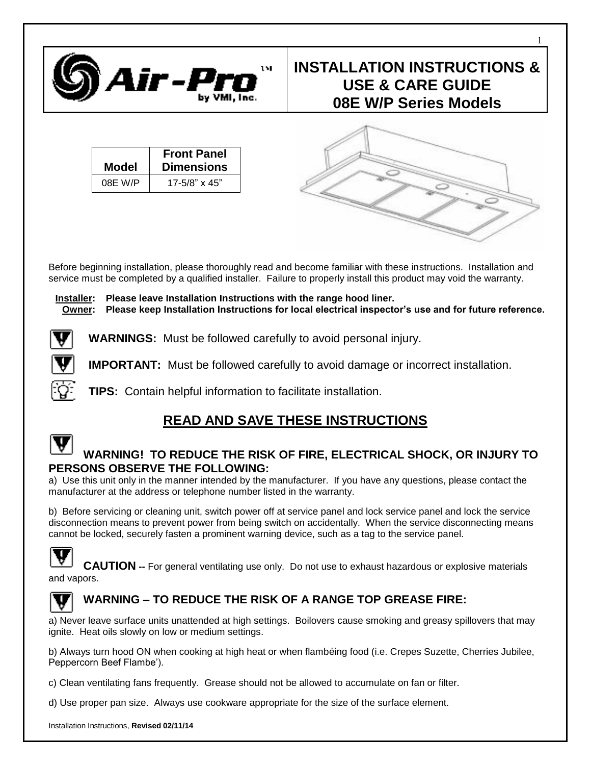

# **INSTALLATION INSTRUCTIONS & USE & CARE GUIDE 08E W/P Series Models**

1

| Model   | <b>Front Panel</b><br><b>Dimensions</b> |
|---------|-----------------------------------------|
| 08E W/P | $17 - 5/8$ " x 45"                      |



Before beginning installation, please thoroughly read and become familiar with these instructions. Installation and service must be completed by a qualified installer. Failure to properly install this product may void the warranty.

**Installer: Please leave Installation Instructions with the range hood liner. Owner: Please keep Installation Instructions for local electrical inspector's use and for future reference.**

**WARNINGS:** Must be followed carefully to avoid personal injury.

**IMPORTANT:** Must be followed carefully to avoid damage or incorrect installation.

**TIPS:** Contain helpful information to facilitate installation.

# **READ AND SAVE THESE INSTRUCTIONS**

### **WARNING! TO REDUCE THE RISK OF FIRE, ELECTRICAL SHOCK, OR INJURY TO PERSONS OBSERVE THE FOLLOWING:**

a) Use this unit only in the manner intended by the manufacturer. If you have any questions, please contact the manufacturer at the address or telephone number listed in the warranty.

b) Before servicing or cleaning unit, switch power off at service panel and lock service panel and lock the service disconnection means to prevent power from being switch on accidentally. When the service disconnecting means cannot be locked, securely fasten a prominent warning device, such as a tag to the service panel.



**CAUTION --** For general ventilating use only. Do not use to exhaust hazardous or explosive materials and vapors.



# **WARNING – TO REDUCE THE RISK OF A RANGE TOP GREASE FIRE:**

a) Never leave surface units unattended at high settings. Boilovers cause smoking and greasy spillovers that may ignite. Heat oils slowly on low or medium settings.

b) Always turn hood ON when cooking at high heat or when flambéing food (i.e. Crepes Suzette, Cherries Jubilee, Peppercorn Beef Flambe').

c) Clean ventilating fans frequently. Grease should not be allowed to accumulate on fan or filter.

d) Use proper pan size. Always use cookware appropriate for the size of the surface element.

Installation Instructions, **Revised 02/11/14**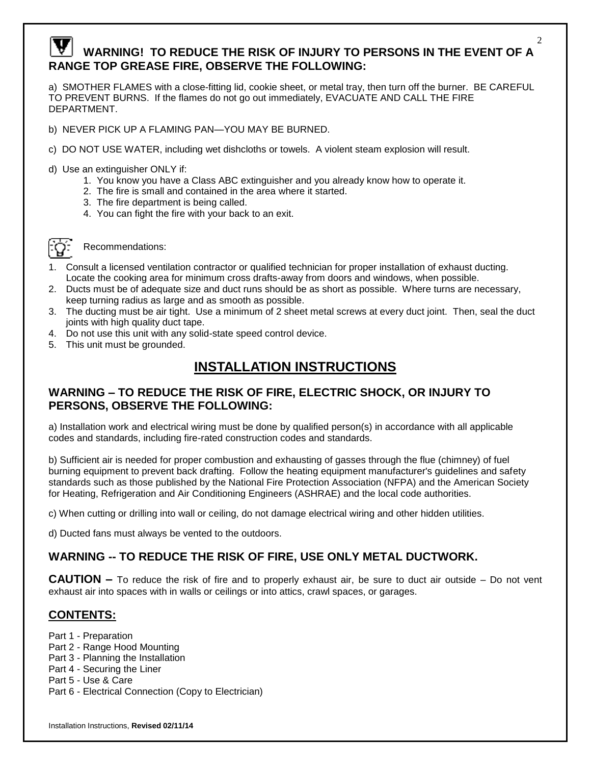# **WARNING! TO REDUCE THE RISK OF INJURY TO PERSONS IN THE EVENT OF A RANGE TOP GREASE FIRE, OBSERVE THE FOLLOWING:**

a) SMOTHER FLAMES with a close-fitting lid, cookie sheet, or metal tray, then turn off the burner. BE CAREFUL TO PREVENT BURNS. If the flames do not go out immediately, EVACUATE AND CALL THE FIRE DEPARTMENT.

- b) NEVER PICK UP A FLAMING PAN—YOU MAY BE BURNED.
- c) DO NOT USE WATER, including wet dishcloths or towels. A violent steam explosion will result.
- d) Use an extinguisher ONLY if:
	- 1. You know you have a Class ABC extinguisher and you already know how to operate it.
	- 2. The fire is small and contained in the area where it started.
	- 3. The fire department is being called.
	- 4. You can fight the fire with your back to an exit.



Recommendations:

- 1. Consult a licensed ventilation contractor or qualified technician for proper installation of exhaust ducting. Locate the cooking area for minimum cross drafts-away from doors and windows, when possible.
- 2. Ducts must be of adequate size and duct runs should be as short as possible. Where turns are necessary, keep turning radius as large and as smooth as possible.
- 3. The ducting must be air tight. Use a minimum of 2 sheet metal screws at every duct joint. Then, seal the duct joints with high quality duct tape.
- 4. Do not use this unit with any solid-state speed control device.
- 5. This unit must be grounded.

# **INSTALLATION INSTRUCTIONS**

### **WARNING – TO REDUCE THE RISK OF FIRE, ELECTRIC SHOCK, OR INJURY TO PERSONS, OBSERVE THE FOLLOWING:**

a) Installation work and electrical wiring must be done by qualified person(s) in accordance with all applicable codes and standards, including fire-rated construction codes and standards.

b) Sufficient air is needed for proper combustion and exhausting of gasses through the flue (chimney) of fuel burning equipment to prevent back drafting. Follow the heating equipment manufacturer's guidelines and safety standards such as those published by the National Fire Protection Association (NFPA) and the American Society for Heating, Refrigeration and Air Conditioning Engineers (ASHRAE) and the local code authorities.

c) When cutting or drilling into wall or ceiling, do not damage electrical wiring and other hidden utilities.

d) Ducted fans must always be vented to the outdoors.

## **WARNING -- TO REDUCE THE RISK OF FIRE, USE ONLY METAL DUCTWORK.**

**CAUTION –** To reduce the risk of fire and to properly exhaust air, be sure to duct air outside – Do not vent exhaust air into spaces with in walls or ceilings or into attics, crawl spaces, or garages.

#### **CONTENTS:**

- Part 1 Preparation
- Part 2 Range Hood Mounting
- Part 3 Planning the Installation
- Part 4 Securing the Liner
- Part 5 Use & Care
- Part 6 Electrical Connection (Copy to Electrician)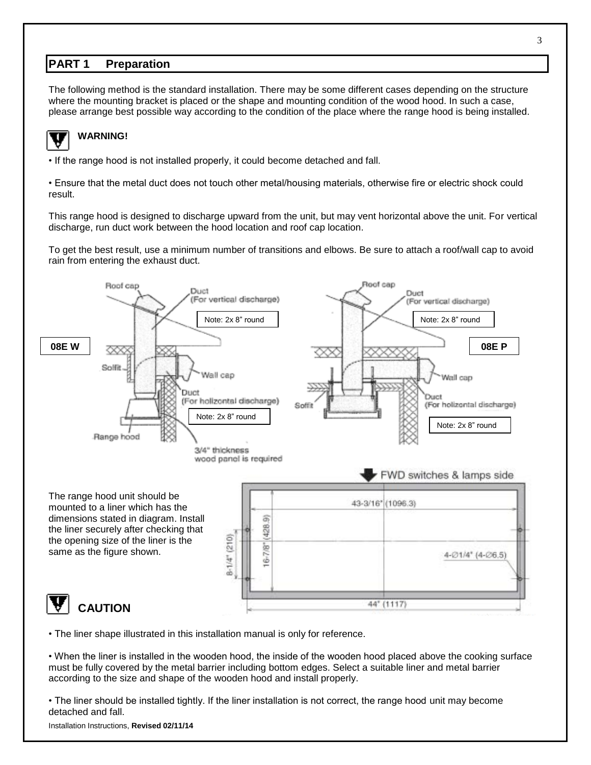#### **PART 1 Preparation**

The following method is the standard installation. There may be some different cases depending on the structure where the mounting bracket is placed or the shape and mounting condition of the wood hood. In such a case, please arrange best possible way according to the condition of the place where the range hood is being installed.



# **WARNING!**

• If the range hood is not installed properly, it could become detached and fall.

• Ensure that the metal duct does not touch other metal/housing materials, otherwise fire or electric shock could result.

This range hood is designed to discharge upward from the unit, but may vent horizontal above the unit. For vertical discharge, run duct work between the hood location and roof cap location.

To get the best result, use a minimum number of transitions and elbows. Be sure to attach a roof/wall cap to avoid rain from entering the exhaust duct.



• The liner shape illustrated in this installation manual is only for reference.

• When the liner is installed in the wooden hood, the inside of the wooden hood placed above the cooking surface must be fully covered by the metal barrier including bottom edges. Select a suitable liner and metal barrier according to the size and shape of the wooden hood and install properly.

• The liner should be installed tightly. If the liner installation is not correct, the range hood unit may become detached and fall.

#### Installation Instructions, **Revised 02/11/14**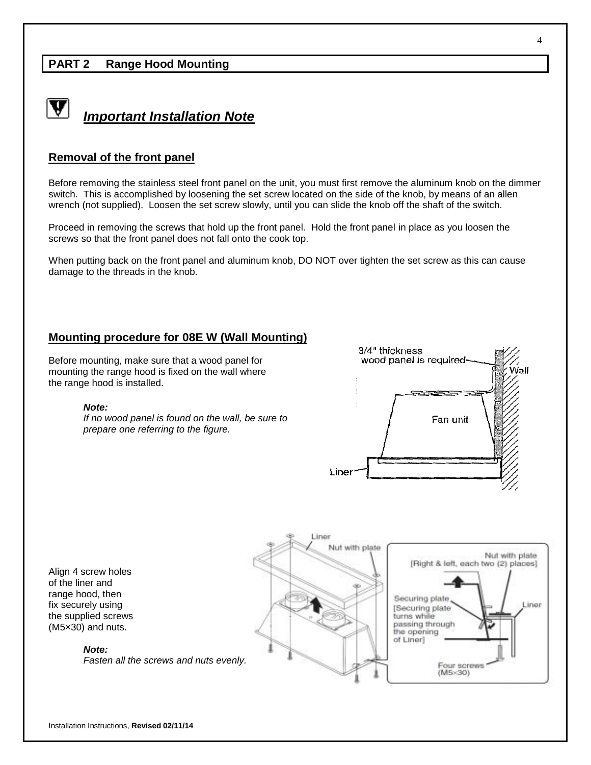### **PART 2 Range Hood Mounting**



*Important Installation Note*

#### **Removal of the front panel**

Before removing the stainless steel front panel on the unit, you must first remove the aluminum knob on the dimmer switch. This is accomplished by loosening the set screw located on the side of the knob, by means of an allen wrench (not supplied). Loosen the set screw slowly, until you can slide the knob off the shaft of the switch.

Proceed in removing the screws that hold up the front panel. Hold the front panel in place as you loosen the screws so that the front panel does not fall onto the cook top.

When putting back on the front panel and aluminum knob, DO NOT over tighten the set screw as this can cause damage to the threads in the knob.

#### **Mounting procedure for 08E W (Wall Mounting)**

Before mounting, make sure that a wood panel for mounting the range hood is fixed on the wall where the range hood is installed.

#### *Note:*

*If no wood panel is found on the wall, be sure to prepare one referring to the figure.*



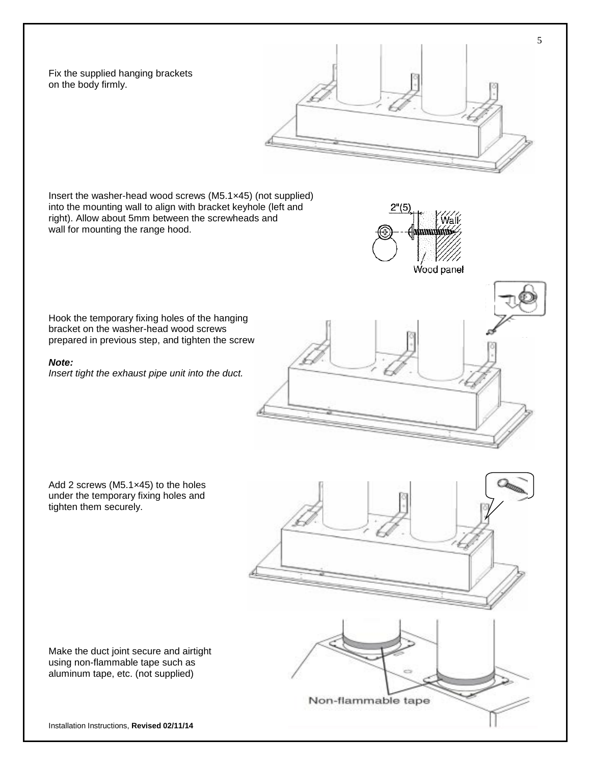Fix the supplied hanging brackets on the body firmly.

 $2^{n}(5)$ 

**MiHHHHHHH** 

Insert the washer-head wood screws (M5.1×45) (not supplied) into the mounting wall to align with bracket keyhole (left and right). Allow about 5mm between the screwheads and wall for mounting the range hood.

Hook the temporary fixing holes of the hanging bracket on the washer-head wood screws prepared in previous step, and tighten the screw

#### *Note:*

*Insert tight the exhaust pipe unit into the duct.*

Add 2 screws (M5.1×45) to the holes under the temporary fixing holes and tighten them securely.

Non-flammable tape

Make the duct joint secure and airtight using non-flammable tape such as aluminum tape, etc. (not supplied)

Installation Instructions, **Revised 02/11/14** 

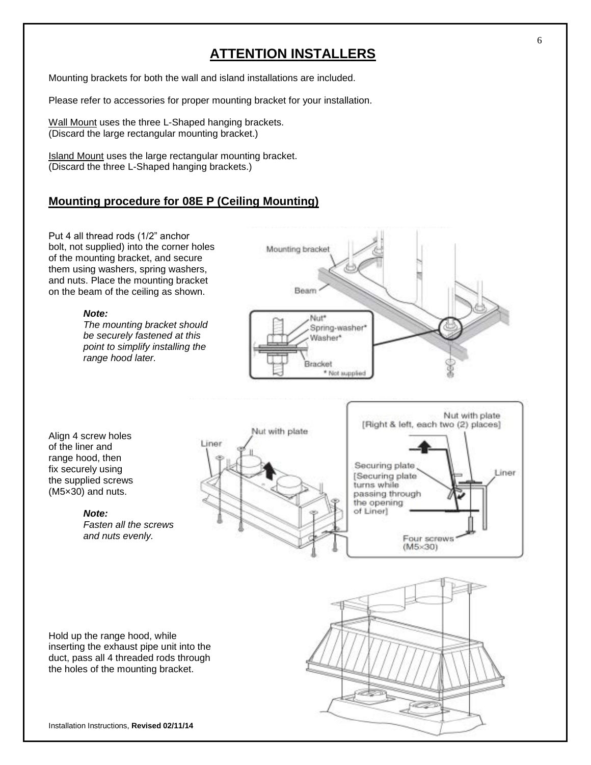# **ATTENTION INSTALLERS**

Mounting brackets for both the wall and island installations are included.

Please refer to accessories for proper mounting bracket for your installation.

Wall Mount uses the three L-Shaped hanging brackets. (Discard the large rectangular mounting bracket.)

Island Mount uses the large rectangular mounting bracket. (Discard the three L-Shaped hanging brackets.)

### **Mounting procedure for 08E P (Ceiling Mounting)**

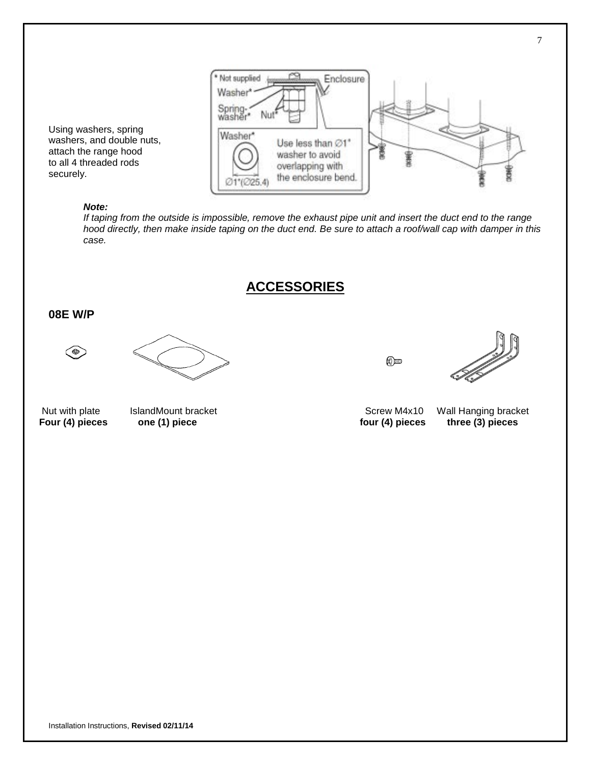

to all 4 threaded rods securely.

Using washers, spring washers, and double nuts, attach the range hood

#### *Note:*

*If taping from the outside is impossible, remove the exhaust pipe unit and insert the duct end to the range hood directly, then make inside taping on the duct end. Be sure to attach a roof/wall cap with damper in this case.*

**ACCESSORIES**

#### **08E W/P**

۵





 $\circledR$ 

Nut with plate IslandMount bracket Screw M4x10 Wall Hanging bracket Screw M4x10 Wall Hanging bracket Four (4) pieces one (1) piece **Four (4) piece one (1) pieces** three (3) pieces **one (4)** pieces three (3) pieces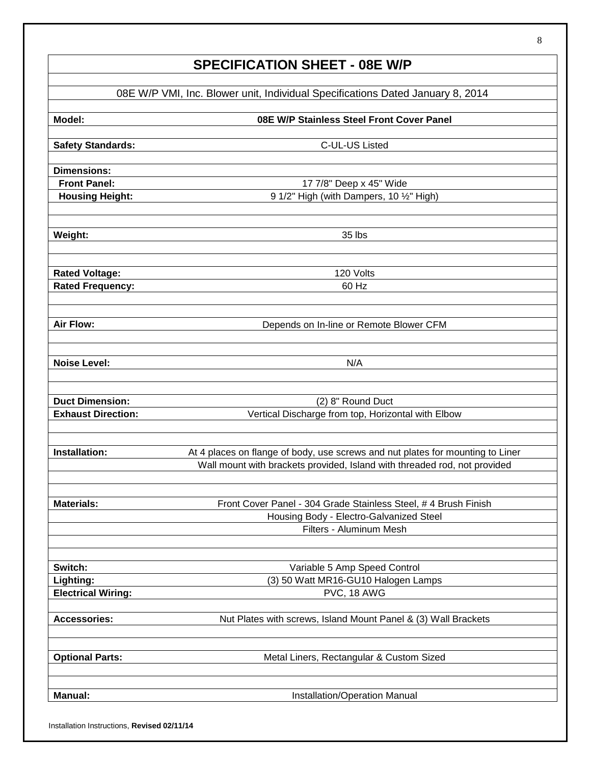# **SPECIFICATION SHEET - 08E W/P**

|                           | 08E W/P VMI, Inc. Blower unit, Individual Specifications Dated January 8, 2014 |
|---------------------------|--------------------------------------------------------------------------------|
| Model:                    | 08E W/P Stainless Steel Front Cover Panel                                      |
| <b>Safety Standards:</b>  | C-UL-US Listed                                                                 |
| <b>Dimensions:</b>        |                                                                                |
| <b>Front Panel:</b>       | 17 7/8" Deep x 45" Wide                                                        |
| <b>Housing Height:</b>    | 9 1/2" High (with Dampers, 10 1/2" High)                                       |
| Weight:                   | 35 lbs                                                                         |
| <b>Rated Voltage:</b>     | 120 Volts                                                                      |
| <b>Rated Frequency:</b>   | 60 Hz                                                                          |
| <b>Air Flow:</b>          | Depends on In-line or Remote Blower CFM                                        |
| <b>Noise Level:</b>       | N/A                                                                            |
| <b>Duct Dimension:</b>    | (2) 8" Round Duct                                                              |
| <b>Exhaust Direction:</b> | Vertical Discharge from top, Horizontal with Elbow                             |
| Installation:             | At 4 places on flange of body, use screws and nut plates for mounting to Liner |
|                           | Wall mount with brackets provided, Island with threaded rod, not provided      |
| <b>Materials:</b>         | Front Cover Panel - 304 Grade Stainless Steel, # 4 Brush Finish                |
|                           | Housing Body - Electro-Galvanized Steel                                        |
|                           | Filters - Aluminum Mesh                                                        |
| Switch:                   | Variable 5 Amp Speed Control                                                   |
| Lighting:                 | (3) 50 Watt MR16-GU10 Halogen Lamps                                            |
| <b>Electrical Wiring:</b> | PVC, 18 AWG                                                                    |
| <b>Accessories:</b>       | Nut Plates with screws, Island Mount Panel & (3) Wall Brackets                 |
| <b>Optional Parts:</b>    | Metal Liners, Rectangular & Custom Sized                                       |
| <b>Manual:</b>            | Installation/Operation Manual                                                  |

Installation Instructions, **Revised 02/11/14**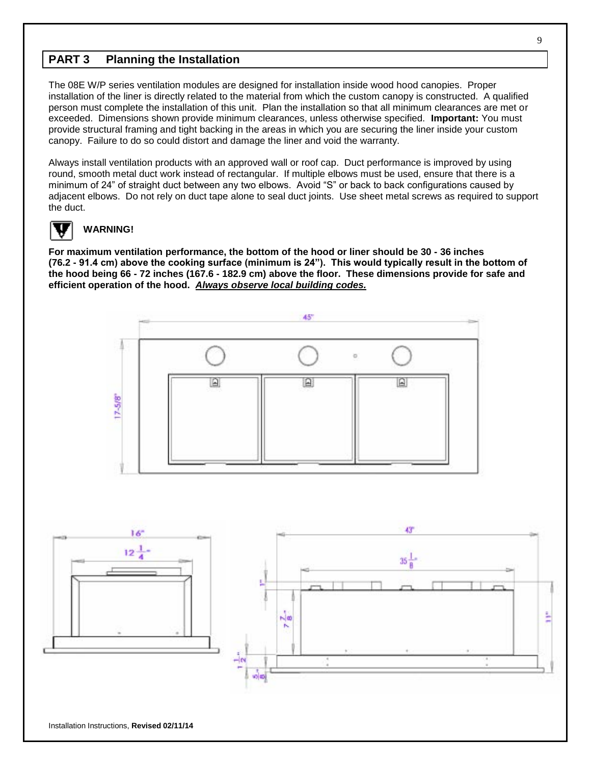### **PART 3 Planning the Installation**

The 08E W/P series ventilation modules are designed for installation inside wood hood canopies. Proper installation of the liner is directly related to the material from which the custom canopy is constructed. A qualified person must complete the installation of this unit. Plan the installation so that all minimum clearances are met or exceeded. Dimensions shown provide minimum clearances, unless otherwise specified. **Important:** You must provide structural framing and tight backing in the areas in which you are securing the liner inside your custom canopy. Failure to do so could distort and damage the liner and void the warranty.

Always install ventilation products with an approved wall or roof cap. Duct performance is improved by using round, smooth metal duct work instead of rectangular. If multiple elbows must be used, ensure that there is a minimum of 24" of straight duct between any two elbows. Avoid "S" or back to back configurations caused by adjacent elbows. Do not rely on duct tape alone to seal duct joints. Use sheet metal screws as required to support the duct.



#### **WARNING!**

**For maximum ventilation performance, the bottom of the hood or liner should be 30 - 36 inches (76.2 - 91.4 cm) above the cooking surface (minimum is 24"). This would typically result in the bottom of the hood being 66 - 72 inches (167.6 - 182.9 cm) above the floor. These dimensions provide for safe and efficient operation of the hood.** *Always observe local building codes.*



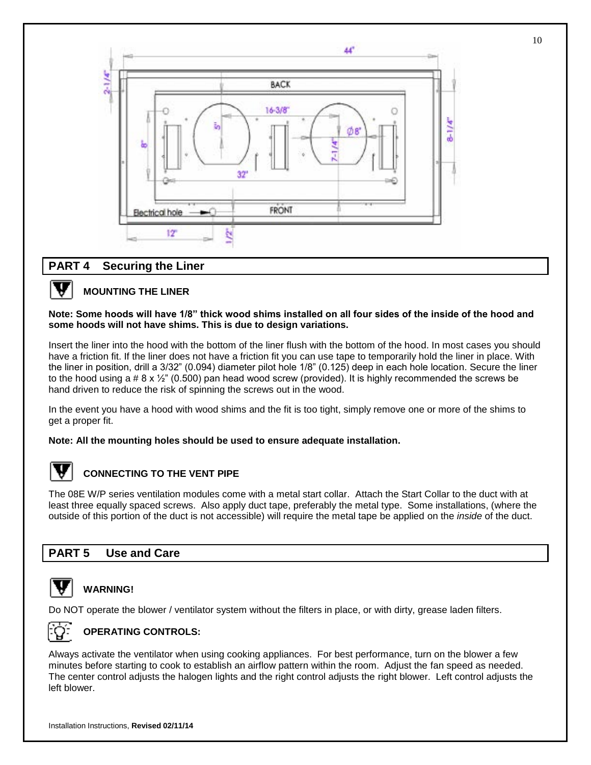

10

#### **PART 4 Securing the Liner**



#### **MOUNTING THE LINER**

#### **Note: Some hoods will have 1/8" thick wood shims installed on all four sides of the inside of the hood and some hoods will not have shims. This is due to design variations.**

Insert the liner into the hood with the bottom of the liner flush with the bottom of the hood. In most cases you should have a friction fit. If the liner does not have a friction fit you can use tape to temporarily hold the liner in place. With the liner in position, drill a 3/32" (0.094) diameter pilot hole 1/8" (0.125) deep in each hole location. Secure the liner to the hood using a #  $8 \times \frac{1}{2}$ " (0.500) pan head wood screw (provided). It is highly recommended the screws be hand driven to reduce the risk of spinning the screws out in the wood.

In the event you have a hood with wood shims and the fit is too tight, simply remove one or more of the shims to get a proper fit.

#### **Note: All the mounting holes should be used to ensure adequate installation.**



#### **CONNECTING TO THE VENT PIPE**

The 08E W/P series ventilation modules come with a metal start collar. Attach the Start Collar to the duct with at least three equally spaced screws. Also apply duct tape, preferably the metal type. Some installations, (where the outside of this portion of the duct is not accessible) will require the metal tape be applied on the *inside* of the duct.

#### **PART 5 Use and Care**



#### **WARNING!**

Do NOT operate the blower / ventilator system without the filters in place, or with dirty, grease laden filters.



#### **OPERATING CONTROLS:**

Always activate the ventilator when using cooking appliances. For best performance, turn on the blower a few minutes before starting to cook to establish an airflow pattern within the room. Adjust the fan speed as needed. The center control adjusts the halogen lights and the right control adjusts the right blower. Left control adjusts the left blower.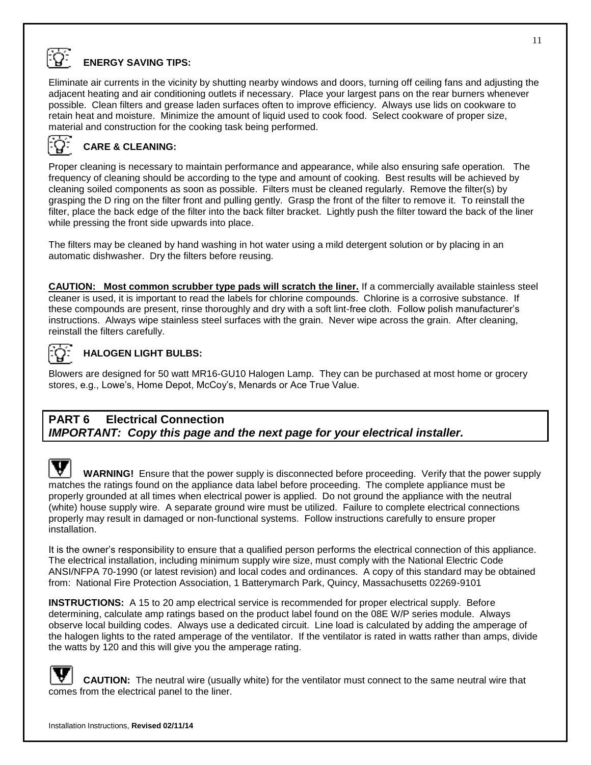

## **ENERGY SAVING TIPS:**

Eliminate air currents in the vicinity by shutting nearby windows and doors, turning off ceiling fans and adjusting the adjacent heating and air conditioning outlets if necessary. Place your largest pans on the rear burners whenever possible. Clean filters and grease laden surfaces often to improve efficiency. Always use lids on cookware to retain heat and moisture. Minimize the amount of liquid used to cook food. Select cookware of proper size, material and construction for the cooking task being performed.



#### **CARE & CLEANING:**

Proper cleaning is necessary to maintain performance and appearance, while also ensuring safe operation. The frequency of cleaning should be according to the type and amount of cooking. Best results will be achieved by cleaning soiled components as soon as possible. Filters must be cleaned regularly. Remove the filter(s) by grasping the D ring on the filter front and pulling gently. Grasp the front of the filter to remove it. To reinstall the filter, place the back edge of the filter into the back filter bracket. Lightly push the filter toward the back of the liner while pressing the front side upwards into place.

The filters may be cleaned by hand washing in hot water using a mild detergent solution or by placing in an automatic dishwasher. Dry the filters before reusing.

**CAUTION: Most common scrubber type pads will scratch the liner.** If a commercially available stainless steel cleaner is used, it is important to read the labels for chlorine compounds. Chlorine is a corrosive substance. If these compounds are present, rinse thoroughly and dry with a soft lint-free cloth. Follow polish manufacturer's instructions. Always wipe stainless steel surfaces with the grain. Never wipe across the grain. After cleaning, reinstall the filters carefully.



#### **HALOGEN LIGHT BULBS:**

Blowers are designed for 50 watt MR16-GU10 Halogen Lamp. They can be purchased at most home or grocery stores, e.g., Lowe's, Home Depot, McCoy's, Menards or Ace True Value.

#### **PART 6 Electrical Connection**  *IMPORTANT: Copy this page and the next page for your electrical installer.*

**WARNING!** Ensure that the power supply is disconnected before proceeding. Verify that the power supply matches the ratings found on the appliance data label before proceeding. The complete appliance must be properly grounded at all times when electrical power is applied. Do not ground the appliance with the neutral (white) house supply wire. A separate ground wire must be utilized. Failure to complete electrical connections properly may result in damaged or non-functional systems. Follow instructions carefully to ensure proper installation.

It is the owner's responsibility to ensure that a qualified person performs the electrical connection of this appliance. The electrical installation, including minimum supply wire size, must comply with the National Electric Code ANSI/NFPA 70-1990 (or latest revision) and local codes and ordinances. A copy of this standard may be obtained from: National Fire Protection Association, 1 Batterymarch Park, Quincy, Massachusetts 02269-9101

**INSTRUCTIONS:** A 15 to 20 amp electrical service is recommended for proper electrical supply. Before determining, calculate amp ratings based on the product label found on the 08E W/P series module. Always observe local building codes. Always use a dedicated circuit. Line load is calculated by adding the amperage of the halogen lights to the rated amperage of the ventilator. If the ventilator is rated in watts rather than amps, divide the watts by 120 and this will give you the amperage rating.

**CAUTION:** The neutral wire (usually white) for the ventilator must connect to the same neutral wire that comes from the electrical panel to the liner.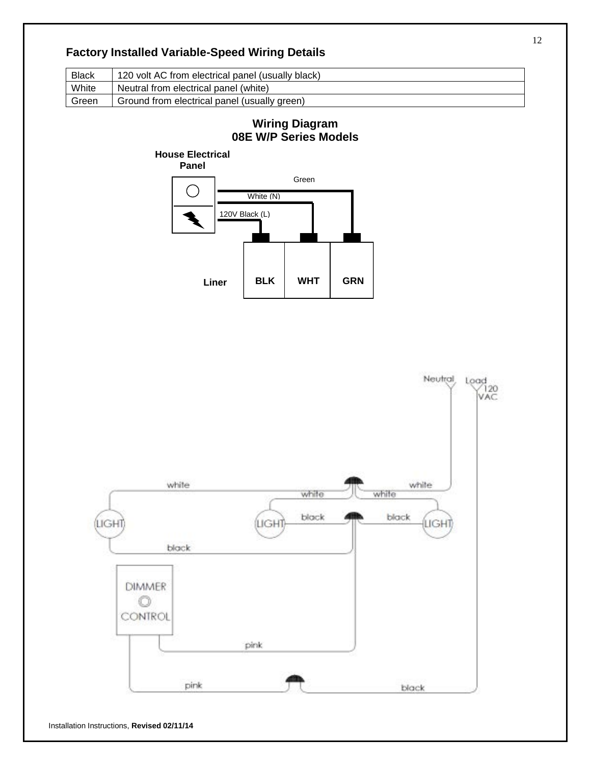## **Factory Installed Variable-Speed Wiring Details**

| <b>Black</b> | 120 volt AC from electrical panel (usually black) |
|--------------|---------------------------------------------------|
| White        | Neutral from electrical panel (white)             |
| Green        | Ground from electrical panel (usually green)      |

# **Wiring Diagram 08E W/P Series Models**



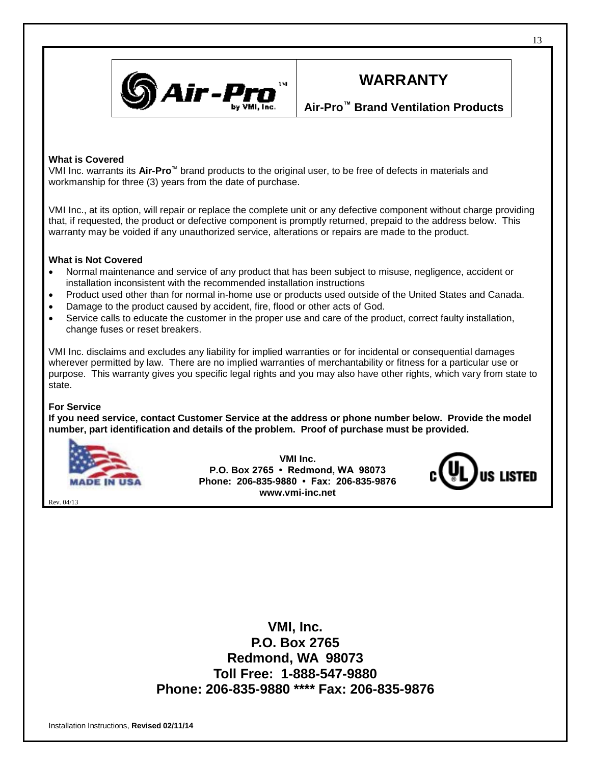

# **WARRANTY**

### **Air-Pro™ Brand Ventilation Products**

#### **What is Covered**

VMI Inc. warrants its **Air-Pro**™ brand products to the original user, to be free of defects in materials and workmanship for three (3) years from the date of purchase.

VMI Inc., at its option, will repair or replace the complete unit or any defective component without charge providing that, if requested, the product or defective component is promptly returned, prepaid to the address below. This warranty may be voided if any unauthorized service, alterations or repairs are made to the product.

#### **What is Not Covered**

- Normal maintenance and service of any product that has been subject to misuse, negligence, accident or installation inconsistent with the recommended installation instructions
- Product used other than for normal in-home use or products used outside of the United States and Canada.
- Damage to the product caused by accident, fire, flood or other acts of God.
- Service calls to educate the customer in the proper use and care of the product, correct faulty installation, change fuses or reset breakers.

VMI Inc. disclaims and excludes any liability for implied warranties or for incidental or consequential damages wherever permitted by law. There are no implied warranties of merchantability or fitness for a particular use or purpose. This warranty gives you specific legal rights and you may also have other rights, which vary from state to state.

#### **For Service**

Rev. 04/13

**If you need service, contact Customer Service at the address or phone number below. Provide the model number, part identification and details of the problem. Proof of purchase must be provided.**



**VMI Inc. P.O. Box 2765 • Redmond, WA 98073 Phone: 206-835-9880 • Fax: 206-835-9876 www.vmi-inc.net**



**VMI, Inc. P.O. Box 2765 Redmond, WA 98073 Toll Free: 1-888-547-9880 Phone: 206-835-9880 \*\*\*\* Fax: 206-835-9876**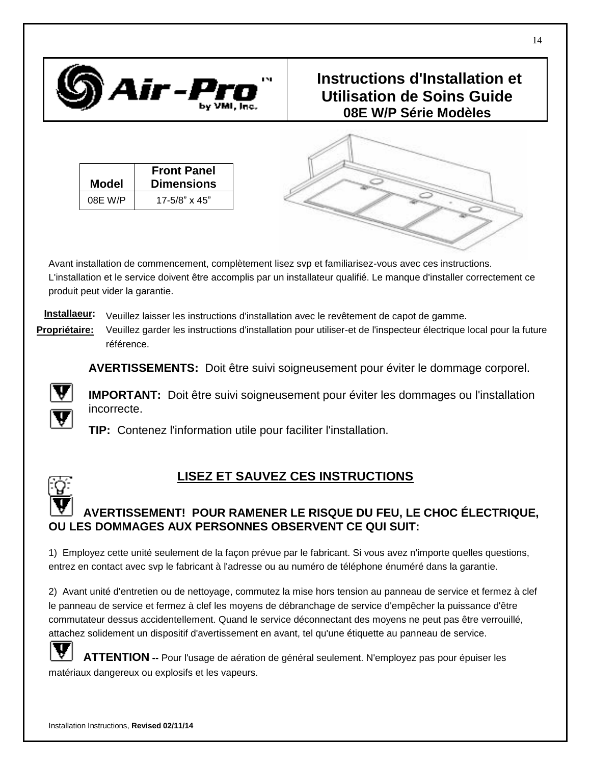

# **Instructions d'Installation et Utilisation de Soins Guide 08E W/P Série Modèles**

| <b>Model</b> | <b>Front Panel</b><br><b>Dimensions</b> |
|--------------|-----------------------------------------|
| 08E W/P      | $17 - 5/8$ " x 45"                      |



**Installaeur:** Veuillez laisser les instructions d'installation avec le revêtement de capot de gamme.

**Propriétaire:** Veuillez garder les instructions d'installation pour utiliser-et de l'inspecteur électrique local pour la future référence.

**AVERTISSEMENTS:** Doit être suivi soigneusement pour éviter le dommage corporel.



**IMPORTANT:** Doit être suivi soigneusement pour éviter les dommages ou l'installation incorrecte.

**TIP:** Contenez l'information utile pour faciliter l'installation.

# **LISEZ ET SAUVEZ CES INSTRUCTIONS**

# **AVERTISSEMENT! POUR RAMENER LE RISQUE DU FEU, LE CHOC É LECTRIQUE, OU LES DOMMAGES AUX PERSONNES OBSERVENT CE QUI SUIT:**

1) Employez cette unité seulement de la façon prévue par le fabricant. Si vous avez n'importe quelles questions, entrez en contact avec svp le fabricant à l'adresse ou au numéro de téléphone énuméré dans la garantie.

2) Avant unité d'entretien ou de nettoyage, commutez la mise hors tension au panneau de service et fermez à clef le panneau de service et fermez à clef les moyens de débranchage de service d'empêcher la puissance d'être commutateur dessus accidentellement. Quand le service déconnectant des moyens ne peut pas être verrouillé, attachez solidement un dispositif d'avertissement en avant, tel qu'une étiquette au panneau de service.

**ATTENTION --** Pour l'usage de aération de général seulement. N'employez pas pour épuiser les matériaux dangereux ou explosifs et les vapeurs.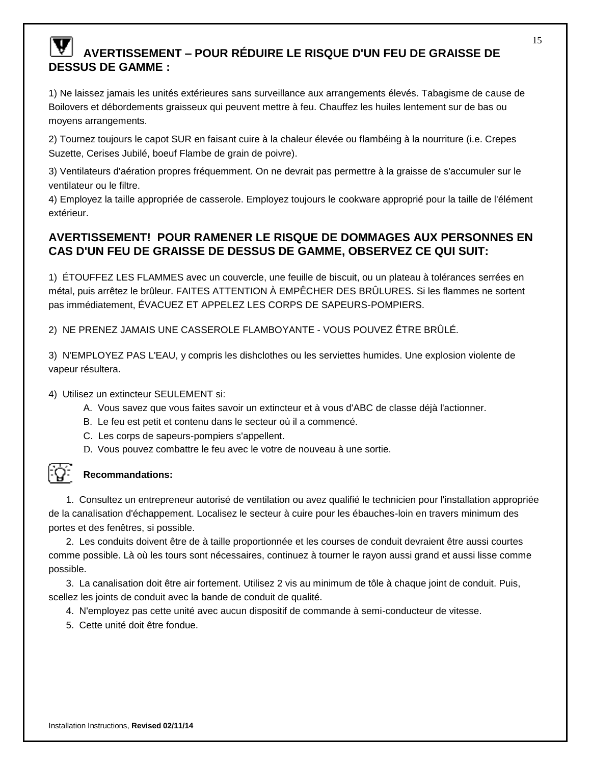# **AVERTISSEMENT – POUR RÉ DUIRE LE RISQUE D'UN FEU DE GRAISSE DE DESSUS DE GAMME :**

1) Ne laissez jamais les unités extérieures sans surveillance aux arrangements élevés. Tabagisme de cause de Boilovers et débordements graisseux qui peuvent mettre à feu. Chauffez les huiles lentement sur de bas ou moyens arrangements.

2) Tournez toujours le capot SUR en faisant cuire à la chaleur élevée ou flambéing à la nourriture (i.e. Crepes Suzette, Cerises Jubilé, boeuf Flambe de grain de poivre).

3) Ventilateurs d'aération propres fréquemment. On ne devrait pas permettre à la graisse de s'accumuler sur le ventilateur ou le filtre.

4) Employez la taille appropriée de casserole. Employez toujours le cookware approprié pour la taille de l'élément extérieur.

## **AVERTISSEMENT! POUR RAMENER LE RISQUE DE DOMMAGES AUX PERSONNES EN CAS D'UN FEU DE GRAISSE DE DESSUS DE GAMME, OBSERVEZ CE QUI SUIT:**

1) É TOUFFEZ LES FLAMMES avec un couvercle, une feuille de biscuit, ou un plateau à tolérances serrées en métal, puis arrêtez le brûleur. FAITES ATTENTION À EMPÊCHER DES BRÜLURES. Si les flammes ne sortent pas immédiatement, É VACUEZ ET APPELEZ LES CORPS DE SAPEURS-POMPIERS.

2) NE PRENEZ JAMAIS UNE CASSEROLE FLAMBOYANTE - VOUS POUVEZ ÊTRE BRÛLÉ.

3) N'EMPLOYEZ PAS L'EAU, y compris les dishclothes ou les serviettes humides. Une explosion violente de vapeur résultera.

4) Utilisez un extincteur SEULEMENT si:

- A. Vous savez que vous faites savoir un extincteur et à vous d'ABC de classe déjà l'actionner.
- B. Le feu est petit et contenu dans le secteur où il a commencé.
- C. Les corps de sapeurs-pompiers s'appellent.
- D. Vous pouvez combattre le feu avec le votre de nouveau à une sortie.



#### **Recommandations:**

1. Consultez un entrepreneur autorisé de ventilation ou avez qualifié le technicien pour l'installation appropriée de la canalisation d'échappement. Localisez le secteur à cuire pour les ébauches-loin en travers minimum des portes et des fenêtres, si possible.

2. Les conduits doivent être de à taille proportionnée et les courses de conduit devraient être aussi courtes comme possible. Là où les tours sont nécessaires, continuez à tourner le rayon aussi grand et aussi lisse comme possible.

3. La canalisation doit être air fortement. Utilisez 2 vis au minimum de tôle à chaque joint de conduit. Puis, scellez les joints de conduit avec la bande de conduit de qualité.

- 4. N'employez pas cette unité avec aucun dispositif de commande à semi-conducteur de vitesse.
- 5. Cette unité doit être fondue.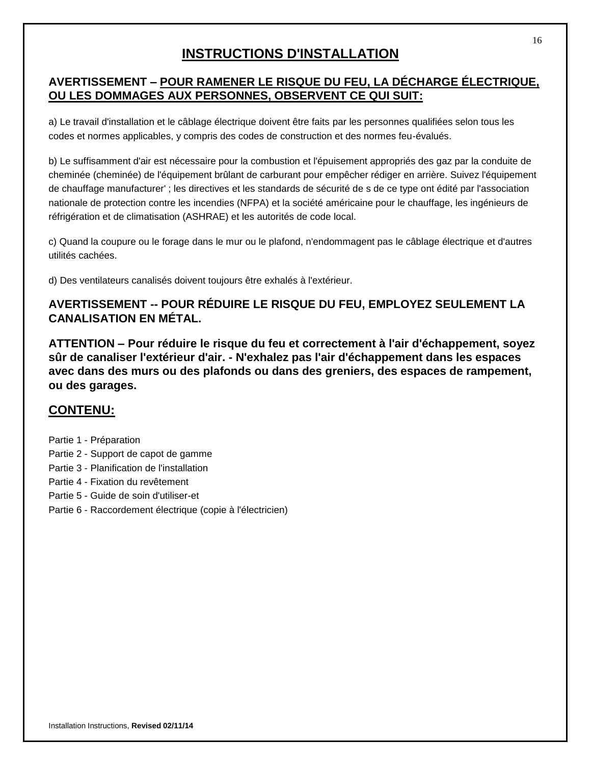# **INSTRUCTIONS D'INSTALLATION**

## **AVERTISSEMENT – POUR RAMENER LE RISQUE DU FEU, LA DÉ CHARGE É LECTRIQUE, OU LES DOMMAGES AUX PERSONNES, OBSERVENT CE QUI SUIT:**

a) Le travail d'installation et le câblage électrique doivent être faits par les personnes qualifiées selon tous les codes et normes applicables, y compris des codes de construction et des normes feu-évalués.

b) Le suffisamment d'air est nécessaire pour la combustion et l'épuisement appropriés des gaz par la conduite de cheminée (cheminée) de l'équipement brûlant de carburant pour empêcher rédiger en arrière. Suivez l'équipement de chauffage manufacturer' ; les directives et les standards de sécurité de s de ce type ont édité par l'association nationale de protection contre les incendies (NFPA) et la société américaine pour le chauffage, les ingénieurs de réfrigération et de climatisation (ASHRAE) et les autorités de code local.

c) Quand la coupure ou le forage dans le mur ou le plafond, n'endommagent pas le câblage électrique et d'autres utilités cachées.

d) Des ventilateurs canalisés doivent toujours être exhalés à l'extérieur.

## **AVERTISSEMENT -- POUR RÉ DUIRE LE RISQUE DU FEU, EMPLOYEZ SEULEMENT LA CANALISATION EN MÉTAL.**

**ATTENTION – Pour réduire le risque du feu et correctement à l'air d'échappement, soyez sûr de canaliser l'extérieur d'air. - N'exhalez pas l'air d'échappement dans les espaces avec dans des murs ou des plafonds ou dans des greniers, des espaces de rampement, ou des garages.**

# **CONTENU:**

- Partie 1 Préparation
- Partie 2 Support de capot de gamme
- Partie 3 Planification de l'installation
- Partie 4 Fixation du revêtement
- Partie 5 Guide de soin d'utiliser-et
- Partie 6 Raccordement électrique (copie à l'électricien)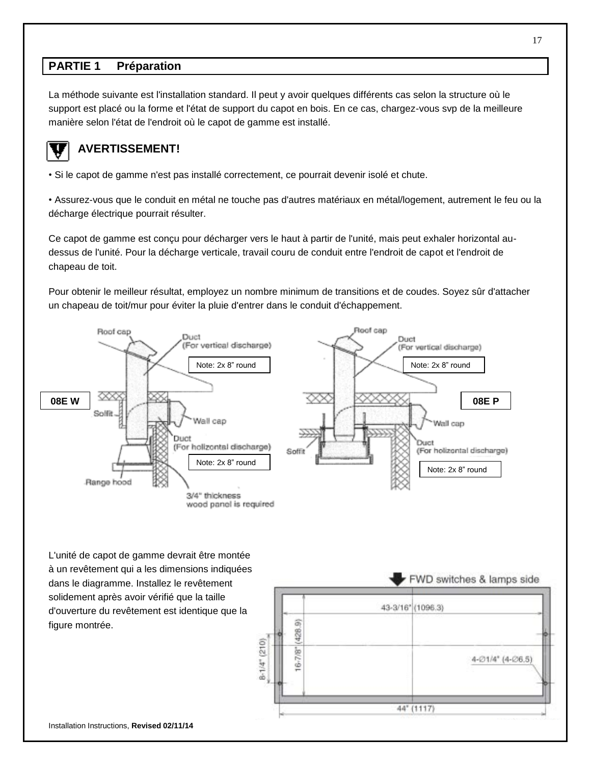## **PARTIE 1 Préparation**

La méthode suivante est l'installation standard. Il peut y avoir quelques différents cas selon la structure où le support est placé ou la forme et l'état de support du capot en bois. En ce cas, chargez-vous svp de la meilleure manière selon l'état de l'endroit où le capot de gamme est installé.



## **AVERTISSEMENT!**

• Si le capot de gamme n'est pas installé correctement, ce pourrait devenir isolé et chute.

• Assurez-vous que le conduit en métal ne touche pas d'autres matériaux en métal/logement, autrement le feu ou la décharge électrique pourrait résulter.

Ce capot de gamme est conçu pour décharger vers le haut à partir de l'unité, mais peut exhaler horizontal audessus de l'unité. Pour la décharge verticale, travail couru de conduit entre l'endroit de capot et l'endroit de chapeau de toit.

Pour obtenir le meilleur résultat, employez un nombre minimum de transitions et de coudes. Soyez sûr d'attacher un chapeau de toit/mur pour éviter la pluie d'entrer dans le conduit d'échappement.



L'unité de capot de gamme devrait être montée à un revêtement qui a les dimensions indiquées dans le diagramme. Installez le revêtement solidement après avoir vérifié que la taille d'ouverture du revêtement est identique que la figure montrée.

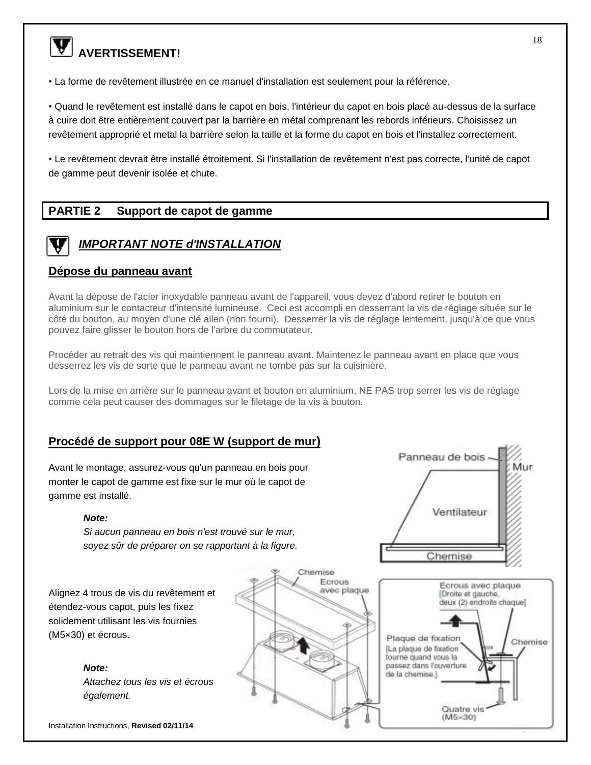# **W** AVERTISSEMENT!

• La forme de revêtement illustrée en ce manuel d'installation est seulement pour la référence.

• Quand le revêtement est installé dans le capot en bois, l'intérieur du capot en bois placé au-dessus de la surface à cuire doit être entièrement couvert par la barrière en métal comprenant les rebords inférieurs. Choisissez un revêtement approprié et metal la barrière selon la taille et la forme du capot en bois et l'installez correctement.

• Le revêtement devrait être installé étroitement. Si l'installation de revêtement n'est pas correcte, l'unité de capot de gamme peut devenir isolée et chute.

## **PARTIE 2 Support de capot de gamme**



# *IMPORTANT NOTE d'INSTALLATION*

#### **Dépose du panneau avant**

Avant la dépose de l'acier inoxydable panneau avant de l'appareil, vous devez d'abord retirer le bouton en aluminium sur le contacteur d'intensité lumineuse. Ceci est accompli en desserrant la vis de réglage située sur le côté du bouton, au moyen d'une clé allen (non fourni). Desserrer la vis de réglage lentement, jusqu'à ce que vous pouvez faire glisser le bouton hors de l'arbre du commutateur.

Procéder au retrait des vis qui maintiennent le panneau avant. Maintenez le panneau avant en place que vous desserrez les vis de sorte que le panneau avant ne tombe pas sur la cuisinière.

Lors de la mise en arrière sur le panneau avant et bouton en aluminium, NE PAS trop serrer les vis de réglage comme cela peut causer des dommages sur le filetage de la vis à bouton.

#### **Procédé de support pour 08E W (support de mur)**

Avant le montage, assurez-vous qu'un panneau en bois pour monter le capot de gamme est fixe sur le mur où le capot de gamme est installé.

#### *Note:*

*Si aucun panneau en bois n'est trouvé sur le mur, soyez sûr de préparer on se rapportant à la figure.*

Alignez 4 trous de vis du revêtement et étendez-vous capot, puis les fixez solidement utilisant les vis fournies (M5×30) et écrous.

> *Note: Attachez tous les vis et écrous également.*

Installation Instructions, **Revised 02/11/14** 



Panneau de bois Mur Ventilateur Chemise

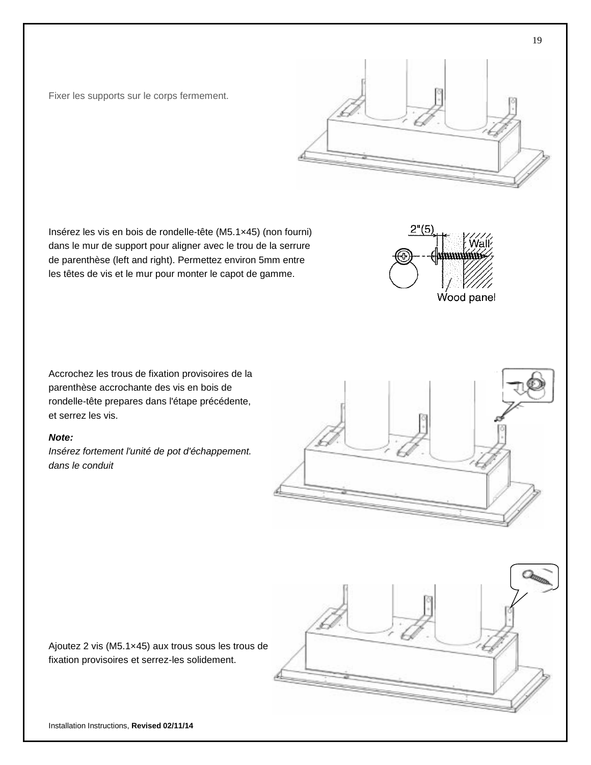Fixer les supports sur le corps fermement.

Insérez les vis en bois de rondelle-tête (M5.1×45) (non fourni) dans le mur de support pour aligner avec le trou de la serrure de parenthèse (left and right). Permettez environ 5mm entre les têtes de vis et le mur pour monter le capot de gamme.

Accrochez les trous de fixation provisoires de la parenthèse accrochante des vis en bois de rondelle-tête prepares dans l'étape précédente, et serrez les vis.

#### *Note:*

*Insérez fortement l'unité de pot d'échappement. dans le conduit*

fixation provisoires et serrez-les solidement.







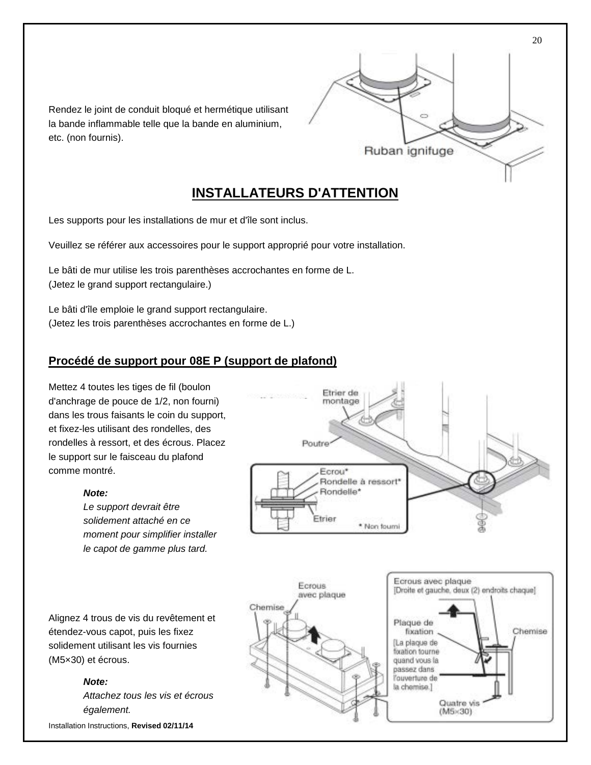

Rendez le joint de conduit bloqué et hermétique utilisant la bande inflammable telle que la bande en aluminium, etc. (non fournis).

# **INSTALLATEURS D'ATTENTION**

Les supports pour les installations de mur et d'île sont inclus.

Veuillez se référer aux accessoires pour le support approprié pour votre installation.

Le bâti de mur utilise les trois parenthèses accrochantes en forme de L. (Jetez le grand support rectangulaire.)

Le bâti d'île emploie le grand support rectangulaire. (Jetez les trois parenthèses accrochantes en forme de L.)

#### **Procédé de support pour 08E P (support de plafond)**

Mettez 4 toutes les tiges de fil (boulon d'anchrage de pouce de 1/2, non fourni) dans les trous faisants le coin du support, et fixez-les utilisant des rondelles, des rondelles à ressort, et des écrous. Placez le support sur le faisceau du plafond comme montré.

#### *Note:*

*Le support devrait être solidement attaché en ce moment pour simplifier installer le capot de gamme plus tard.*

Alignez 4 trous de vis du revêtement et étendez-vous capot, puis les fixez solidement utilisant les vis fournies (M5×30) et écrous.

#### *Note:*

*Attachez tous les vis et écrous également.*

Installation Instructions, **Revised 02/11/14** 





20

Chemise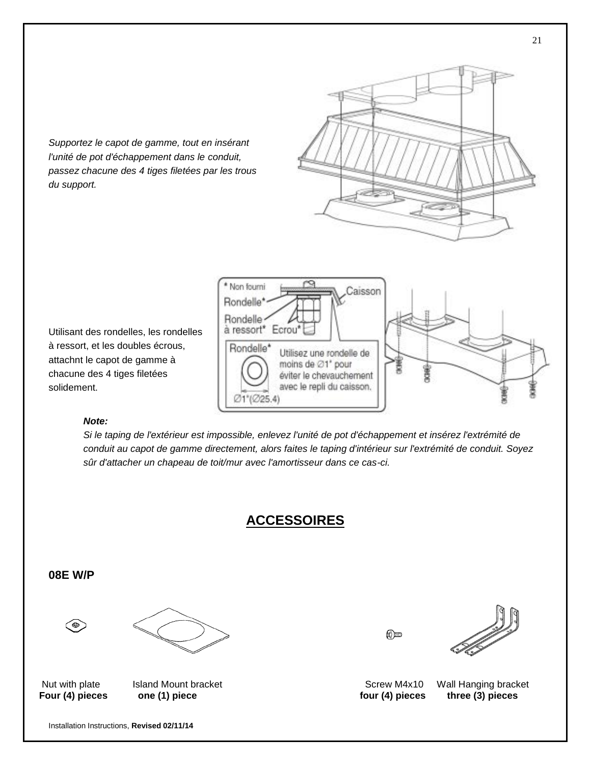

*Supportez le capot de gamme, tout en insérant l'unité de pot d'échappement dans le conduit, passez chacune des 4 tiges filetées par les trous du support.*

Utilisant des rondelles, les rondelles à ressort, et les doubles écrous, attachnt le capot de gamme à chacune des 4 tiges filetées solidement.

#### *Note:*

*Si le taping de l'extérieur est impossible, enlevez l'unité de pot d'échappement et insérez l'extrémité de conduit au capot de gamme directement, alors faites le taping d'intérieur sur l'extrémité de conduit. Soyez sûr d'attacher un chapeau de toit/mur avec l'amortisseur dans ce cas-ci.*

## **ACCESSOIRES**

**08E W/P** 

⊜



(©)



Nut with plate Island Mount bracket **Internal and Access pipe unit Screw M4x10** Wall Hanging bracket Four (4) pieces one (1) piece the contract one to the two four (4) pieces three (3) pieces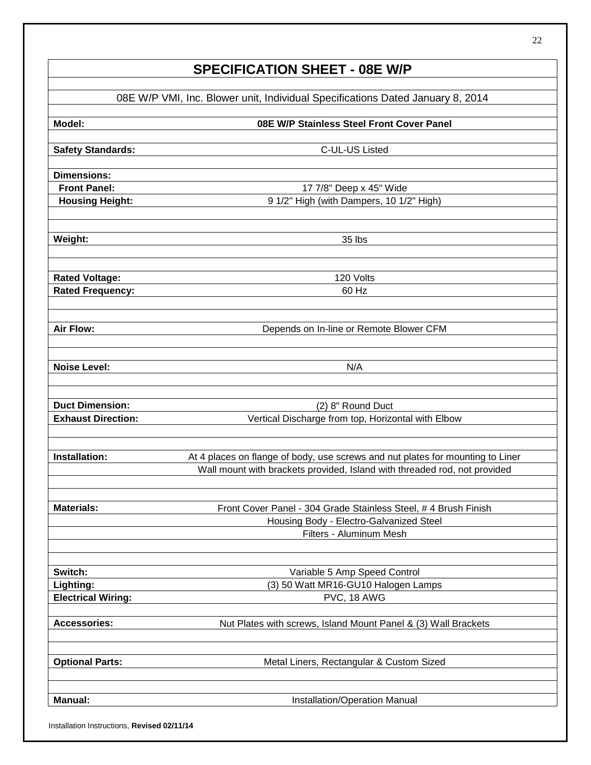# **SPECIFICATION SHEET - 08E W/P**

| 08E W/P VMI, Inc. Blower unit, Individual Specifications Dated January 8, 2014 |                                                                                |  |
|--------------------------------------------------------------------------------|--------------------------------------------------------------------------------|--|
| Model:                                                                         | 08E W/P Stainless Steel Front Cover Panel                                      |  |
| <b>Safety Standards:</b>                                                       | C-UL-US Listed                                                                 |  |
|                                                                                |                                                                                |  |
| <b>Dimensions:</b>                                                             |                                                                                |  |
| <b>Front Panel:</b>                                                            | 17 7/8" Deep x 45" Wide                                                        |  |
| <b>Housing Height:</b>                                                         | 9 1/2" High (with Dampers, 10 1/2" High)                                       |  |
| Weight:                                                                        | 35 lbs                                                                         |  |
|                                                                                |                                                                                |  |
| <b>Rated Voltage:</b>                                                          | 120 Volts                                                                      |  |
| <b>Rated Frequency:</b>                                                        | 60 Hz                                                                          |  |
| <b>Air Flow:</b>                                                               | Depends on In-line or Remote Blower CFM                                        |  |
|                                                                                |                                                                                |  |
| <b>Noise Level:</b>                                                            | N/A                                                                            |  |
|                                                                                |                                                                                |  |
| <b>Duct Dimension:</b>                                                         | (2) 8" Round Duct                                                              |  |
| <b>Exhaust Direction:</b>                                                      | Vertical Discharge from top, Horizontal with Elbow                             |  |
|                                                                                |                                                                                |  |
| <b>Installation:</b>                                                           | At 4 places on flange of body, use screws and nut plates for mounting to Liner |  |
|                                                                                | Wall mount with brackets provided, Island with threaded rod, not provided      |  |
|                                                                                |                                                                                |  |
| <b>Materials:</b>                                                              | Front Cover Panel - 304 Grade Stainless Steel, # 4 Brush Finish                |  |
|                                                                                | Housing Body - Electro-Galvanized Steel<br>Filters - Aluminum Mesh             |  |
|                                                                                |                                                                                |  |
| Switch:                                                                        | Variable 5 Amp Speed Control                                                   |  |
| Lighting:                                                                      | (3) 50 Watt MR16-GU10 Halogen Lamps                                            |  |
| <b>Electrical Wiring:</b>                                                      | PVC, 18 AWG                                                                    |  |
| <b>Accessories:</b>                                                            | Nut Plates with screws, Island Mount Panel & (3) Wall Brackets                 |  |
|                                                                                |                                                                                |  |
| <b>Optional Parts:</b>                                                         | Metal Liners, Rectangular & Custom Sized                                       |  |
|                                                                                |                                                                                |  |
| <b>Manual:</b>                                                                 | Installation/Operation Manual                                                  |  |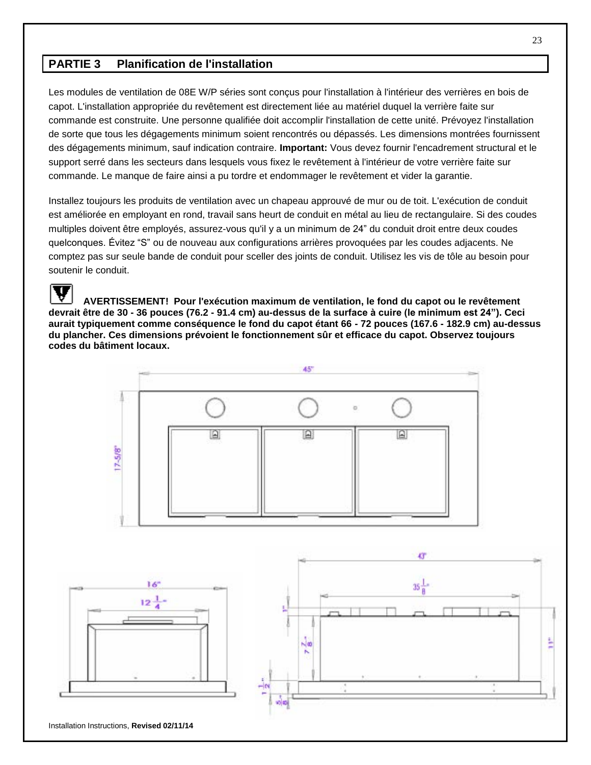## **PARTIE 3 Planification de l'installation**

Les modules de ventilation de 08E W/P séries sont conçus pour l'installation à l'intérieur des verrières en bois de capot. L'installation appropriée du revêtement est directement liée au matériel duquel la verrière faite sur commande est construite. Une personne qualifiée doit accomplir l'installation de cette unité. Prévoyez l'installation de sorte que tous les dégagements minimum soient rencontrés ou dépassés. Les dimensions montrées fournissent des dégagements minimum, sauf indication contraire. **Important:** Vous devez fournir l'encadrement structural et le support serré dans les secteurs dans lesquels vous fixez le revêtement à l'intérieur de votre verrière faite sur commande. Le manque de faire ainsi a pu tordre et endommager le revêtement et vider la garantie.

Installez toujours les produits de ventilation avec un chapeau approuvé de mur ou de toit. L'exécution de conduit est améliorée en employant en rond, travail sans heurt de conduit en métal au lieu de rectangulaire. Si des coudes multiples doivent être employés, assurez-vous qu'il y a un minimum de 24" du conduit droit entre deux coudes quelconques. Évitez "S" ou de nouveau aux configurations arrières provoquées par les coudes adjacents. Ne comptez pas sur seule bande de conduit pour sceller des joints de conduit. Utilisez les vis de tôle au besoin pour soutenir le conduit.

**AVERTISSEMENT! Pour l'exécution maximum de ventilation, le fond du capot ou le revêtement devrait être de 30 - 36 pouces (76.2 - 91.4 cm) au-dessus de la surface à cuire (le minimum est 24"). Ceci aurait typiquement comme conséquence le fond du capot étant 66 - 72 pouces (167.6 - 182.9 cm) au-dessus du plancher. Ces dimensions prévoient le fonctionnement sûr et efficace du capot. Observez toujours codes du bâtiment locaux.** 



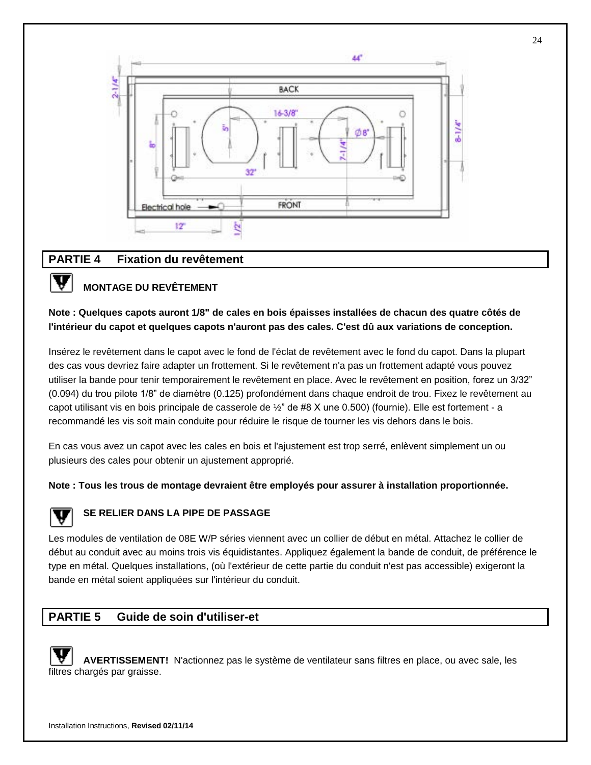

#### **PARTIE 4 Fixation du revêtement**

### **MONTAGE DU REVÊTEMENT**

#### **Note : Quelques capots auront 1/8" de cales en bois épaisses installées de chacun des quatre côtés de l'intérieur du capot et quelques capots n'auront pas des cales. C'est dû aux variations de conception.**

Insérez le revêtement dans le capot avec le fond de l'éclat de revêtement avec le fond du capot. Dans la plupart des cas vous devriez faire adapter un frottement. Si le revêtement n'a pas un frottement adapté vous pouvez utiliser la bande pour tenir temporairement le revêtement en place. Avec le revêtement en position, forez un 3/32" (0.094) du trou pilote 1/8" de diamètre (0.125) profondément dans chaque endroit de trou. Fixez le revêtement au capot utilisant vis en bois principale de casserole de ½ " de #8 X une 0.500) (fournie). Elle est fortement - a recommandé les vis soit main conduite pour réduire le risque de tourner les vis dehors dans le bois.

En cas vous avez un capot avec les cales en bois et l'ajustement est trop serré, enlèvent simplement un ou plusieurs des cales pour obtenir un ajustement approprié.

**Note : Tous les trous de montage devraient être employés pour assurer à installation proportionnée.**

V

#### **SE RELIER DANS LA PIPE DE PASSAGE**

Les modules de ventilation de 08E W/P séries viennent avec un collier de début en métal. Attachez le collier de début au conduit avec au moins trois vis équidistantes. Appliquez également la bande de conduit, de préférence le type en métal. Quelques installations, (où l'extérieur de cette partie du conduit n'est pas accessible) exigeront la bande en métal soient appliquées sur l'intérieur du conduit.

## **PARTIE 5 Guide de soin d'utiliser-et**

**AVERTISSEMENT!** N'actionnez pas le système de ventilateur sans filtres en place, ou avec sale, les filtres chargés par graisse.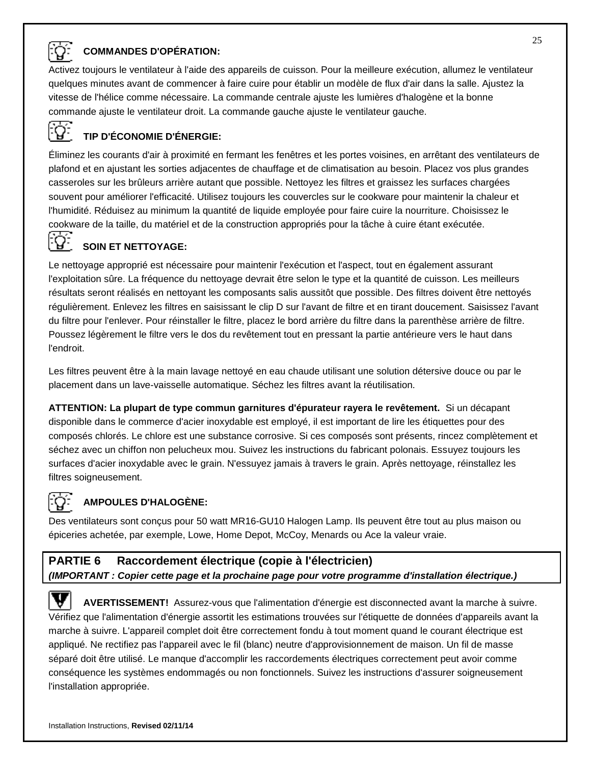

#### **COMMANDES D'OPÉ RATION:**

Activez toujours le ventilateur à l'aide des appareils de cuisson. Pour la meilleure exécution, allumez le ventilateur quelques minutes avant de commencer à faire cuire pour établir un modèle de flux d'air dans la salle. Ajustez la vitesse de l'hélice comme nécessaire. La commande centrale ajuste les lumières d'halogène et la bonne commande ajuste le ventilateur droit. La commande gauche ajuste le ventilateur gauche.

## **TIP D'É CONOMIE D'É NERGIE:**

É liminez les courants d'air à proximité en fermant les fenêtres et les portes voisines, en arrêtant des ventilateurs de plafond et en ajustant les sorties adjacentes de chauffage et de climatisation au besoin. Placez vos plus grandes casseroles sur les brûleurs arrière autant que possible. Nettoyez les filtres et graissez les surfaces chargées souvent pour améliorer l'efficacité. Utilisez toujours les couvercles sur le cookware pour maintenir la chaleur et l'humidité. Réduisez au minimum la quantité de liquide employée pour faire cuire la nourriture. Choisissez le cookware de la taille, du matériel et de la construction appropriés pour la tâche à cuire étant exécutée.

# **SOIN ET NETTOYAGE:**<br>L`**B** SOIN ET NETTOYAGE:

Le nettoyage approprié est nécessaire pour maintenir l'exécution et l'aspect, tout en également assurant l'exploitation sûre. La fréquence du nettoyage devrait être selon le type et la quantité de cuisson. Les meilleurs résultats seront réalisés en nettoyant les composants salis aussitôt que possible. Des filtres doivent être nettoyés régulièrement. Enlevez les filtres en saisissant le clip D sur l'avant de filtre et en tirant doucement. Saisissez l'avant du filtre pour l'enlever. Pour réinstaller le filtre, placez le bord arrière du filtre dans la parenthèse arrière de filtre. Poussez légèrement le filtre vers le dos du revêtement tout en pressant la partie antérieure vers le haut dans l'endroit.

Les filtres peuvent être à la main lavage nettoyé en eau chaude utilisant une solution détersive douce ou par le placement dans un lave-vaisselle automatique. Séchez les filtres avant la réutilisation.

**ATTENTION: La plupart de type commun garnitures d'épurateur rayera le revêtement.** Si un décapant disponible dans le commerce d'acier inoxydable est employé, il est important de lire les étiquettes pour des composés chlorés. Le chlore est une substance corrosive. Si ces composés sont présents, rincez complètement et séchez avec un chiffon non pelucheux mou. Suivez les instructions du fabricant polonais. Essuyez toujours les surfaces d'acier inoxydable avec le grain. N'essuyez jamais à travers le grain. Après nettoyage, réinstallez les filtres soigneusement.

#### **AMPOULES D'HALOGÈNE:**

Des ventilateurs sont conçus pour 50 watt MR16-GU10 Halogen Lamp. Ils peuvent être tout au plus maison ou épiceries achetée, par exemple, Lowe, Home Depot, McCoy, Menards ou Ace la valeur vraie.

## **PARTIE 6 Raccordement électrique (copie à l'électricien)** *(IMPORTANT : Copier cette page et la prochaine page pour votre programme d'installation électrique.)*

V **AVERTISSEMENT!** Assurez-vous que l'alimentation d'énergie est disconnected avant la marche à suivre. Vérifiez que l'alimentation d'énergie assortit les estimations trouvées sur l'étiquette de données d'appareils avant la marche à suivre. L'appareil complet doit être correctement fondu à tout moment quand le courant électrique est appliqué. Ne rectifiez pas l'appareil avec le fil (blanc) neutre d'approvisionnement de maison. Un fil de masse séparé doit être utilisé. Le manque d'accomplir les raccordements électriques correctement peut avoir comme conséquence les systèmes endommagés ou non fonctionnels. Suivez les instructions d'assurer soigneusement l'installation appropriée.

25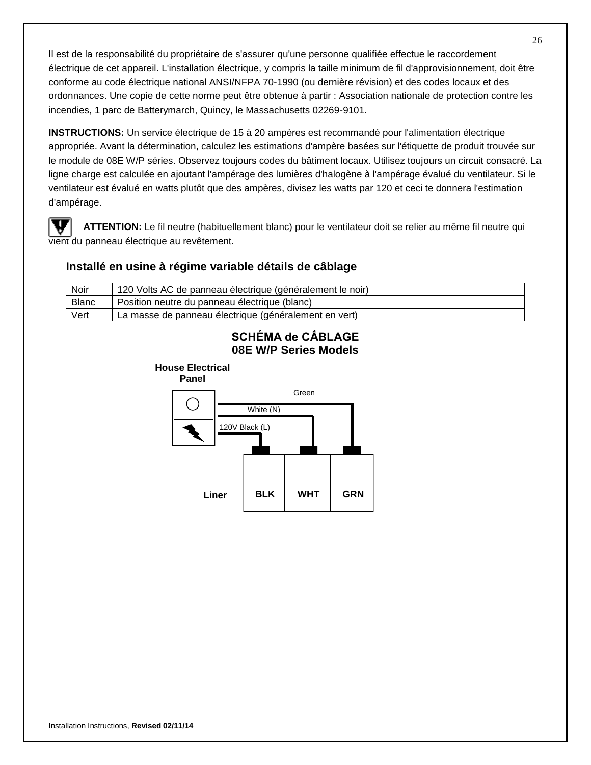Il est de la responsabilité du propriétaire de s'assurer qu'une personne qualifiée effectue le raccordement électrique de cet appareil. L'installation électrique, y compris la taille minimum de fil d'approvisionnement, doit être conforme au code électrique national ANSI/NFPA 70-1990 (ou dernière révision) et des codes locaux et des ordonnances. Une copie de cette norme peut être obtenue à partir : Association nationale de protection contre les incendies, 1 parc de Batterymarch, Quincy, le Massachusetts 02269-9101.

**INSTRUCTIONS:** Un service électrique de 15 à 20 ampères est recommandé pour l'alimentation électrique appropriée. Avant la détermination, calculez les estimations d'ampère basées sur l'étiquette de produit trouvée sur le module de 08E W/P séries. Observez toujours codes du bâtiment locaux. Utilisez toujours un circuit consacré. La ligne charge est calculée en ajoutant l'ampérage des lumières d'halogène à l'ampérage évalué du ventilateur. Si le ventilateur est évalué en watts plutôt que des ampères, divisez les watts par 120 et ceci te donnera l'estimation d'ampérage.

**ATTENTION:** Le fil neutre (habituellement blanc) pour le ventilateur doit se relier au même fil neutre qui vient du panneau électrique au revêtement.

#### **Installé en usine à régime variable détails de câblage**

 $\overline{a}$ 

| Noir         | 120 Volts AC de panneau électrique (généralement le noir) |
|--------------|-----------------------------------------------------------|
| <b>Blanc</b> | Position neutre du panneau électrique (blanc)             |
| Vert         | La masse de panneau électrique (généralement en vert)     |

## **SCHÉMA de CẤBLAGE 08E W/P Series Models**

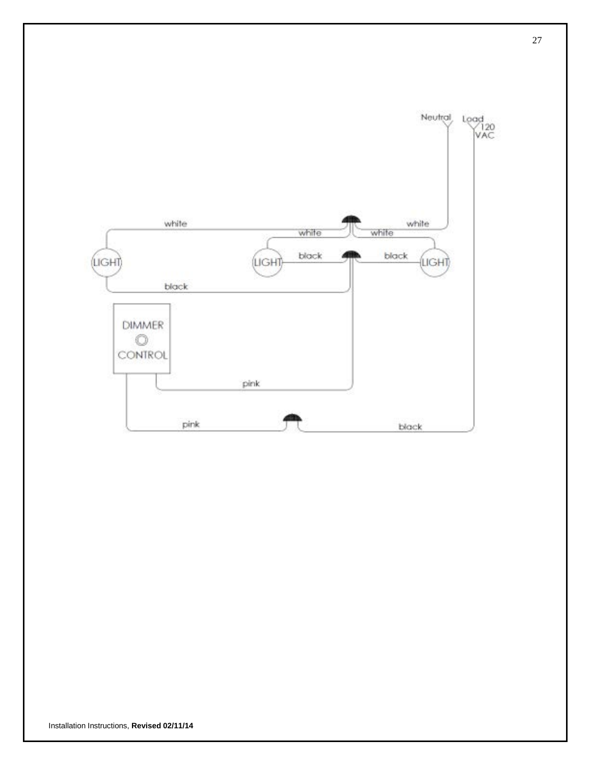